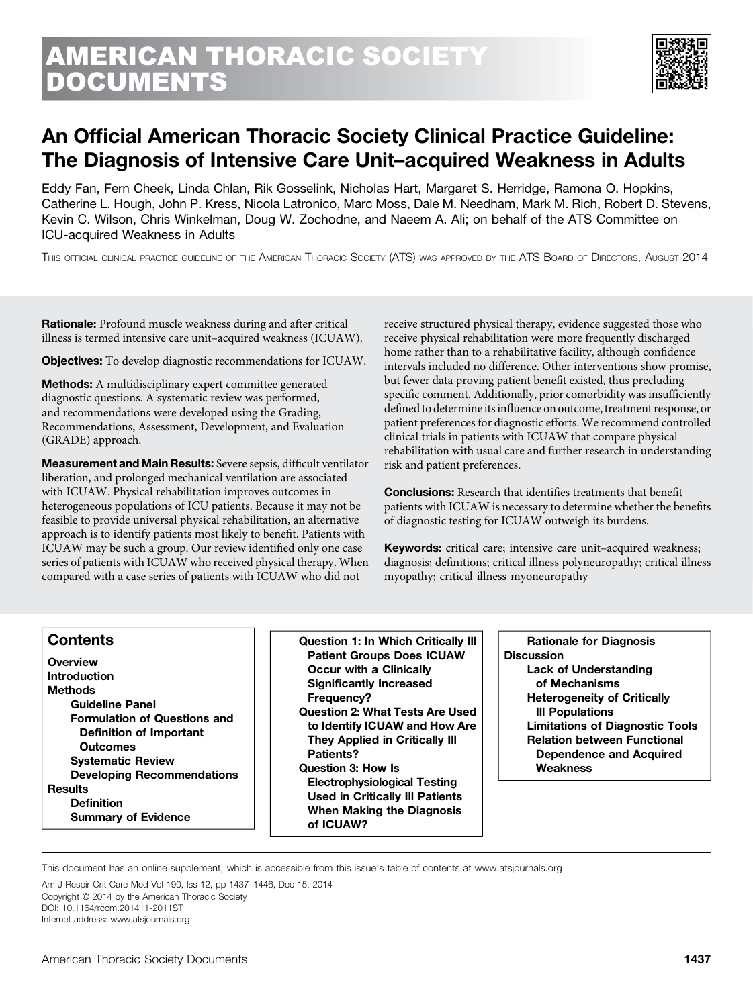

# An Official American Thoracic Society Clinical Practice Guideline: The Diagnosis of Intensive Care Unit–acquired Weakness in Adults

Eddy Fan, Fern Cheek, Linda Chlan, Rik Gosselink, Nicholas Hart, Margaret S. Herridge, Ramona O. Hopkins, Catherine L. Hough, John P. Kress, Nicola Latronico, Marc Moss, Dale M. Needham, Mark M. Rich, Robert D. Stevens, Kevin C. Wilson, Chris Winkelman, Doug W. Zochodne, and Naeem A. Ali; on behalf of the ATS Committee on ICU-acquired Weakness in Adults

THIS OFFICIAL CLINICAL PRACTICE GUIDELINE OF THE AMERICAN THORACIC SOCIETY (ATS) WAS APPROVED BY THE ATS BOARD OF DIRECTORS, AUGUST 2014

Rationale: Profound muscle weakness during and after critical illness is termed intensive care unit–acquired weakness (ICUAW).

Objectives: To develop diagnostic recommendations for ICUAW.

Methods: A multidisciplinary expert committee generated diagnostic questions. A systematic review was performed, and recommendations were developed using the Grading, Recommendations, Assessment, Development, and Evaluation (GRADE) approach.

Measurement and Main Results: Severe sepsis, difficult ventilator liberation, and prolonged mechanical ventilation are associated with ICUAW. Physical rehabilitation improves outcomes in heterogeneous populations of ICU patients. Because it may not be feasible to provide universal physical rehabilitation, an alternative approach is to identify patients most likely to benefit. Patients with ICUAW may be such a group. Our review identified only one case series of patients with ICUAW who received physical therapy. When compared with a case series of patients with ICUAW who did not

receive structured physical therapy, evidence suggested those who receive physical rehabilitation were more frequently discharged home rather than to a rehabilitative facility, although confidence intervals included no difference. Other interventions show promise, but fewer data proving patient benefit existed, thus precluding specific comment. Additionally, prior comorbidity was insufficiently defined to determine its influence on outcome, treatment response, or patient preferences for diagnostic efforts. We recommend controlled clinical trials in patients with ICUAW that compare physical rehabilitation with usual care and further research in understanding risk and patient preferences.

**Conclusions:** Research that identifies treatments that benefit patients with ICUAW is necessary to determine whether the benefits of diagnostic testing for ICUAW outweigh its burdens.

Keywords: critical care; intensive care unit-acquired weakness; diagnosis; definitions; critical illness polyneuropathy; critical illness myopathy; critical illness myoneuropathy

## **Contents**

**Overview** Introduction Methods Guideline Panel Formulation of Questions and Definition of Important Outcomes Systematic Review Developing Recommendations **Results Definition** Summary of Evidence

Question 1: In Which Critically Ill Patient Groups Does ICUAW Occur with a Clinically Significantly Increased Frequency? Question 2: What Tests Are Used to Identify ICUAW and How Are They Applied in Critically Ill Patients? Question 3: How Is Electrophysiological Testing Used in Critically Ill Patients When Making the Diagnosis of ICUAW?

Rationale for Diagnosis **Discussion** Lack of Understanding of Mechanisms Heterogeneity of Critically Ill Populations Limitations of Diagnostic Tools Relation between Functional Dependence and Acquired Weakness

This document has an online supplement, which is accessible from this issue's table of contents at [www.atsjournals.org](http://www.atsjournals.org)

Am J Respir Crit Care Med Vol 190, Iss 12, pp 1437–1446, Dec 15, 2014 Copyright © 2014 by the American Thoracic Society DOI: [10.1164/rccm.201411-2011ST](http://10.1164/rccm.201411-2011ST) Internet address: [www.atsjournals.org](http://www.atsjournals.org)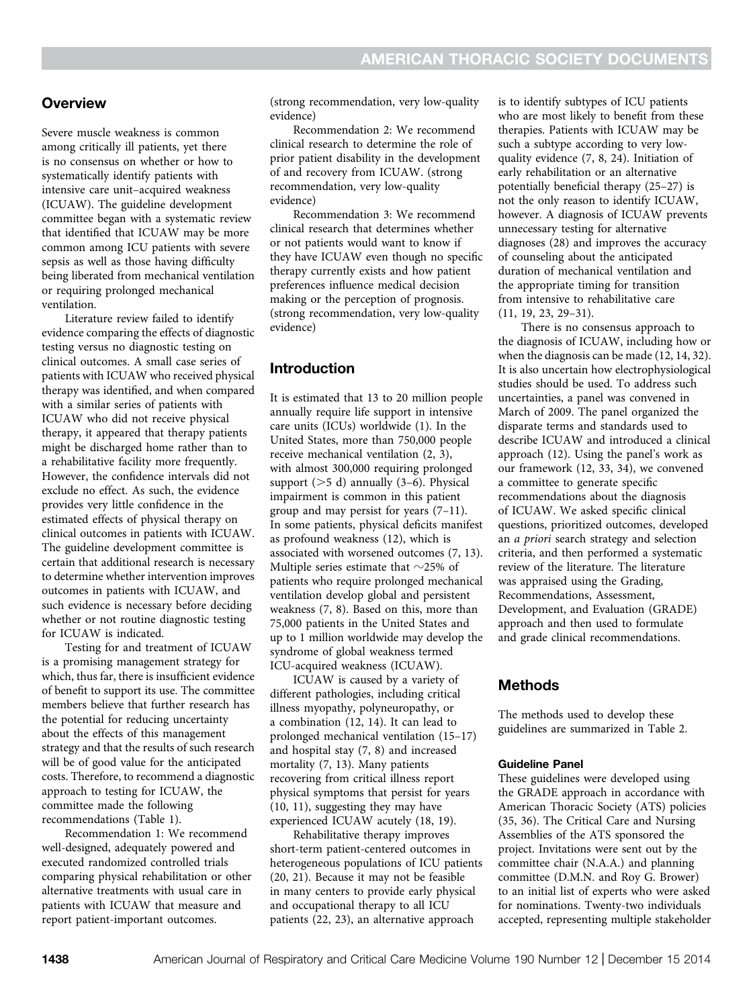# **Overview**

Severe muscle weakness is common among critically ill patients, yet there is no consensus on whether or how to systematically identify patients with intensive care unit–acquired weakness (ICUAW). The guideline development committee began with a systematic review that identified that ICUAW may be more common among ICU patients with severe sepsis as well as those having difficulty being liberated from mechanical ventilation or requiring prolonged mechanical ventilation.

Literature review failed to identify evidence comparing the effects of diagnostic testing versus no diagnostic testing on clinical outcomes. A small case series of patients with ICUAW who received physical therapy was identified, and when compared with a similar series of patients with ICUAW who did not receive physical therapy, it appeared that therapy patients might be discharged home rather than to a rehabilitative facility more frequently. However, the confidence intervals did not exclude no effect. As such, the evidence provides very little confidence in the estimated effects of physical therapy on clinical outcomes in patients with ICUAW. The guideline development committee is certain that additional research is necessary to determine whether intervention improves outcomes in patients with ICUAW, and such evidence is necessary before deciding whether or not routine diagnostic testing for ICUAW is indicated.

Testing for and treatment of ICUAW is a promising management strategy for which, thus far, there is insufficient evidence of benefit to support its use. The committee members believe that further research has the potential for reducing uncertainty about the effects of this management strategy and that the results of such research will be of good value for the anticipated costs. Therefore, to recommend a diagnostic approach to testing for ICUAW, the committee made the following recommendations (Table 1).

Recommendation 1: We recommend well-designed, adequately powered and executed randomized controlled trials comparing physical rehabilitation or other alternative treatments with usual care in patients with ICUAW that measure and report patient-important outcomes.

(strong recommendation, very low-quality evidence)

Recommendation 2: We recommend clinical research to determine the role of prior patient disability in the development of and recovery from ICUAW. (strong recommendation, very low-quality evidence)

Recommendation 3: We recommend clinical research that determines whether or not patients would want to know if they have ICUAW even though no specific therapy currently exists and how patient preferences influence medical decision making or the perception of prognosis. (strong recommendation, very low-quality evidence)

# Introduction

It is estimated that 13 to 20 million people annually require life support in intensive care units (ICUs) worldwide (1). In the United States, more than 750,000 people receive mechanical ventilation (2, 3), with almost 300,000 requiring prolonged support  $(>5 d)$  annually  $(3-6)$ . Physical impairment is common in this patient group and may persist for years (7–11). In some patients, physical deficits manifest as profound weakness (12), which is associated with worsened outcomes (7, 13). Multiple series estimate that  $\sim$ 25% of patients who require prolonged mechanical ventilation develop global and persistent weakness (7, 8). Based on this, more than 75,000 patients in the United States and up to 1 million worldwide may develop the syndrome of global weakness termed ICU-acquired weakness (ICUAW).

ICUAW is caused by a variety of different pathologies, including critical illness myopathy, polyneuropathy, or a combination (12, 14). It can lead to prolonged mechanical ventilation (15–17) and hospital stay (7, 8) and increased mortality (7, 13). Many patients recovering from critical illness report physical symptoms that persist for years (10, 11), suggesting they may have experienced ICUAW acutely (18, 19).

Rehabilitative therapy improves short-term patient-centered outcomes in heterogeneous populations of ICU patients (20, 21). Because it may not be feasible in many centers to provide early physical and occupational therapy to all ICU patients (22, 23), an alternative approach

is to identify subtypes of ICU patients who are most likely to benefit from these therapies. Patients with ICUAW may be such a subtype according to very lowquality evidence (7, 8, 24). Initiation of early rehabilitation or an alternative potentially beneficial therapy (25–27) is not the only reason to identify ICUAW, however. A diagnosis of ICUAW prevents unnecessary testing for alternative diagnoses (28) and improves the accuracy of counseling about the anticipated duration of mechanical ventilation and the appropriate timing for transition from intensive to rehabilitative care (11, 19, 23, 29–31).

There is no consensus approach to the diagnosis of ICUAW, including how or when the diagnosis can be made (12, 14, 32). It is also uncertain how electrophysiological studies should be used. To address such uncertainties, a panel was convened in March of 2009. The panel organized the disparate terms and standards used to describe ICUAW and introduced a clinical approach (12). Using the panel's work as our framework (12, 33, 34), we convened a committee to generate specific recommendations about the diagnosis of ICUAW. We asked specific clinical questions, prioritized outcomes, developed an a priori search strategy and selection criteria, and then performed a systematic review of the literature. The literature was appraised using the Grading, Recommendations, Assessment, Development, and Evaluation (GRADE) approach and then used to formulate and grade clinical recommendations.

# Methods

The methods used to develop these guidelines are summarized in Table 2.

#### Guideline Panel

These guidelines were developed using the GRADE approach in accordance with American Thoracic Society (ATS) policies (35, 36). The Critical Care and Nursing Assemblies of the ATS sponsored the project. Invitations were sent out by the committee chair (N.A.A.) and planning committee (D.M.N. and Roy G. Brower) to an initial list of experts who were asked for nominations. Twenty-two individuals accepted, representing multiple stakeholder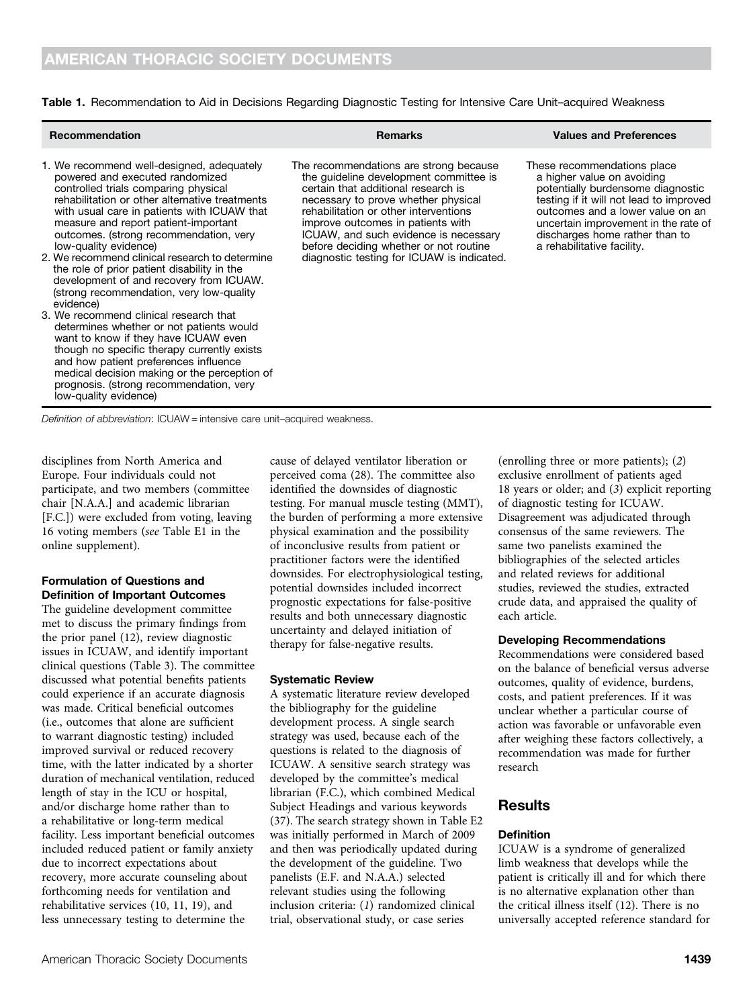Table 1. Recommendation to Aid in Decisions Regarding Diagnostic Testing for Intensive Care Unit-acquired Weakness

| Recommendation                                                                                                                                                                                                                                                                                                                         | <b>Remarks</b>                                                                                                                                                                                                                                                                                                                  | <b>Values and Preferences</b>                                                                                                                                                                                                                                                         |
|----------------------------------------------------------------------------------------------------------------------------------------------------------------------------------------------------------------------------------------------------------------------------------------------------------------------------------------|---------------------------------------------------------------------------------------------------------------------------------------------------------------------------------------------------------------------------------------------------------------------------------------------------------------------------------|---------------------------------------------------------------------------------------------------------------------------------------------------------------------------------------------------------------------------------------------------------------------------------------|
| 1. We recommend well-designed, adequately<br>powered and executed randomized<br>controlled trials comparing physical<br>rehabilitation or other alternative treatments<br>with usual care in patients with ICUAW that<br>measure and report patient-important<br>outcomes. (strong recommendation, very<br>low-quality evidence)       | The recommendations are strong because<br>the guideline development committee is<br>certain that additional research is<br>necessary to prove whether physical<br>rehabilitation or other interventions<br>improve outcomes in patients with<br>ICUAW, and such evidence is necessary<br>before deciding whether or not routine | These recommendations place<br>a higher value on avoiding<br>potentially burdensome diagnostic<br>testing if it will not lead to improved<br>outcomes and a lower value on an<br>uncertain improvement in the rate of<br>discharges home rather than to<br>a rehabilitative facility. |
| 2. We recommend clinical research to determine<br>the role of prior patient disability in the<br>development of and recovery from ICUAW.<br>(strong recommendation, very low-quality<br>evidence)                                                                                                                                      | diagnostic testing for ICUAW is indicated.                                                                                                                                                                                                                                                                                      |                                                                                                                                                                                                                                                                                       |
| 3. We recommend clinical research that<br>determines whether or not patients would<br>want to know if they have ICUAW even<br>though no specific therapy currently exists<br>and how patient preferences influence<br>medical decision making or the perception of<br>prognosis. (strong recommendation, very<br>low-quality evidence) |                                                                                                                                                                                                                                                                                                                                 |                                                                                                                                                                                                                                                                                       |

Definition of abbreviation: ICUAW = intensive care unit–acquired weakness.

disciplines from North America and Europe. Four individuals could not participate, and two members (committee chair [N.A.A.] and academic librarian [F.C.]) were excluded from voting, leaving 16 voting members (see Table E1 in the online supplement).

#### Formulation of Questions and Definition of Important Outcomes

The guideline development committee met to discuss the primary findings from the prior panel (12), review diagnostic issues in ICUAW, and identify important clinical questions (Table 3). The committee discussed what potential benefits patients could experience if an accurate diagnosis was made. Critical beneficial outcomes (i.e., outcomes that alone are sufficient to warrant diagnostic testing) included improved survival or reduced recovery time, with the latter indicated by a shorter duration of mechanical ventilation, reduced length of stay in the ICU or hospital, and/or discharge home rather than to a rehabilitative or long-term medical facility. Less important beneficial outcomes included reduced patient or family anxiety due to incorrect expectations about recovery, more accurate counseling about forthcoming needs for ventilation and rehabilitative services (10, 11, 19), and less unnecessary testing to determine the

cause of delayed ventilator liberation or perceived coma (28). The committee also identified the downsides of diagnostic testing. For manual muscle testing (MMT), the burden of performing a more extensive physical examination and the possibility of inconclusive results from patient or practitioner factors were the identified downsides. For electrophysiological testing, potential downsides included incorrect prognostic expectations for false-positive results and both unnecessary diagnostic uncertainty and delayed initiation of therapy for false-negative results.

#### Systematic Review

A systematic literature review developed the bibliography for the guideline development process. A single search strategy was used, because each of the questions is related to the diagnosis of ICUAW. A sensitive search strategy was developed by the committee's medical librarian (F.C.), which combined Medical Subject Headings and various keywords (37). The search strategy shown in Table E2 was initially performed in March of 2009 and then was periodically updated during the development of the guideline. Two panelists (E.F. and N.A.A.) selected relevant studies using the following inclusion criteria: (1) randomized clinical trial, observational study, or case series

(enrolling three or more patients); (2) exclusive enrollment of patients aged 18 years or older; and (3) explicit reporting of diagnostic testing for ICUAW. Disagreement was adjudicated through consensus of the same reviewers. The same two panelists examined the bibliographies of the selected articles and related reviews for additional studies, reviewed the studies, extracted crude data, and appraised the quality of each article.

#### Developing Recommendations

Recommendations were considered based on the balance of beneficial versus adverse outcomes, quality of evidence, burdens, costs, and patient preferences. If it was unclear whether a particular course of action was favorable or unfavorable even after weighing these factors collectively, a recommendation was made for further research

## **Results**

#### Definition

ICUAW is a syndrome of generalized limb weakness that develops while the patient is critically ill and for which there is no alternative explanation other than the critical illness itself (12). There is no universally accepted reference standard for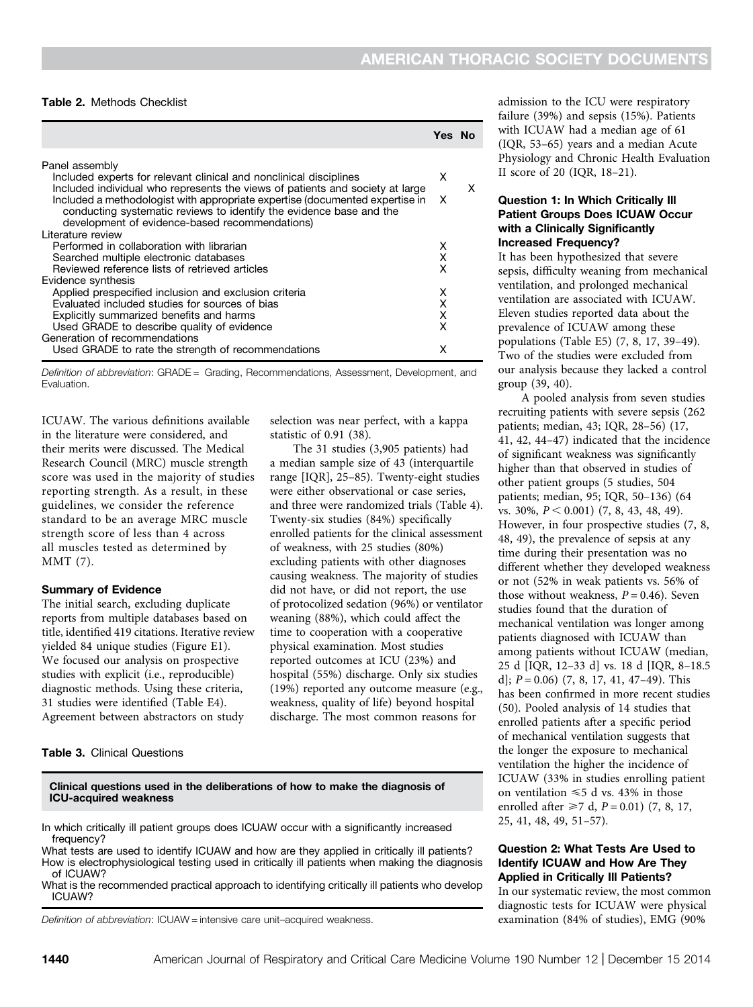## Table 2. Methods Checklist

|                                                                                                                                                                                                       | Yes No |   |
|-------------------------------------------------------------------------------------------------------------------------------------------------------------------------------------------------------|--------|---|
| Panel assembly                                                                                                                                                                                        |        |   |
| Included experts for relevant clinical and nonclinical disciplines                                                                                                                                    | x      |   |
| Included individual who represents the views of patients and society at large                                                                                                                         |        | X |
| Included a methodologist with appropriate expertise (documented expertise in<br>conducting systematic reviews to identify the evidence base and the<br>development of evidence-based recommendations) | X      |   |
| Literature review                                                                                                                                                                                     |        |   |
| Performed in collaboration with librarian                                                                                                                                                             | x      |   |
| Searched multiple electronic databases                                                                                                                                                                | X      |   |
| Reviewed reference lists of retrieved articles                                                                                                                                                        | x      |   |
| Evidence synthesis                                                                                                                                                                                    |        |   |
| Applied prespecified inclusion and exclusion criteria                                                                                                                                                 | x      |   |
| Evaluated included studies for sources of bias                                                                                                                                                        | x      |   |
| Explicitly summarized benefits and harms                                                                                                                                                              | x      |   |
| Used GRADE to describe quality of evidence                                                                                                                                                            | x      |   |
| Generation of recommendations                                                                                                                                                                         |        |   |
| Used GRADE to rate the strength of recommendations                                                                                                                                                    | х      |   |

Definition of abbreviation: GRADE = Grading, Recommendations, Assessment, Development, and Evaluation.

ICUAW. The various definitions available in the literature were considered, and their merits were discussed. The Medical Research Council (MRC) muscle strength score was used in the majority of studies reporting strength. As a result, in these guidelines, we consider the reference standard to be an average MRC muscle strength score of less than 4 across all muscles tested as determined by MMT (7).

#### Summary of Evidence

The initial search, excluding duplicate reports from multiple databases based on title, identified 419 citations. Iterative review yielded 84 unique studies (Figure E1). We focused our analysis on prospective studies with explicit (i.e., reproducible) diagnostic methods. Using these criteria, 31 studies were identified (Table E4). Agreement between abstractors on study

selection was near perfect, with a kappa statistic of 0.91 (38).

The 31 studies (3,905 patients) had a median sample size of 43 (interquartile range [IQR], 25–85). Twenty-eight studies were either observational or case series, and three were randomized trials (Table 4). Twenty-six studies (84%) specifically enrolled patients for the clinical assessment of weakness, with 25 studies (80%) excluding patients with other diagnoses causing weakness. The majority of studies did not have, or did not report, the use of protocolized sedation (96%) or ventilator weaning (88%), which could affect the time to cooperation with a cooperative physical examination. Most studies reported outcomes at ICU (23%) and hospital (55%) discharge. Only six studies (19%) reported any outcome measure (e.g., weakness, quality of life) beyond hospital discharge. The most common reasons for

Table 3. Clinical Questions

Clinical questions used in the deliberations of how to make the diagnosis of ICU-acquired weakness

In which critically ill patient groups does ICUAW occur with a significantly increased frequency?

- What tests are used to identify ICUAW and how are they applied in critically ill patients? How is electrophysiological testing used in critically ill patients when making the diagnosis of ICUAW?
- What is the recommended practical approach to identifying critically ill patients who develop ICUAW?

Definition of abbreviation: ICUAW = intensive care unit–acquired weakness.

admission to the ICU were respiratory failure (39%) and sepsis (15%). Patients with ICUAW had a median age of 61 (IQR, 53–65) years and a median Acute Physiology and Chronic Health Evaluation II score of 20 (IQR, 18–21).

#### Question 1: In Which Critically Ill Patient Groups Does ICUAW Occur with a Clinically Significantly Increased Frequency?

It has been hypothesized that severe sepsis, difficulty weaning from mechanical ventilation, and prolonged mechanical ventilation are associated with ICUAW. Eleven studies reported data about the prevalence of ICUAW among these populations (Table E5) (7, 8, 17, 39–49). Two of the studies were excluded from our analysis because they lacked a control group (39, 40).

A pooled analysis from seven studies recruiting patients with severe sepsis (262 patients; median, 43; IQR, 28–56) (17, 41, 42, 44–47) indicated that the incidence of significant weakness was significantly higher than that observed in studies of other patient groups (5 studies, 504 patients; median, 95; IQR, 50–136) (64 vs. 30%,  $P \le 0.001$ ) (7, 8, 43, 48, 49). However, in four prospective studies (7, 8, 48, 49), the prevalence of sepsis at any time during their presentation was no different whether they developed weakness or not (52% in weak patients vs. 56% of those without weakness,  $P = 0.46$ ). Seven studies found that the duration of mechanical ventilation was longer among patients diagnosed with ICUAW than among patients without ICUAW (median, 25 d [IQR, 12–33 d] vs. 18 d [IQR, 8–18.5 d];  $P = 0.06$  (7, 8, 17, 41, 47–49). This has been confirmed in more recent studies (50). Pooled analysis of 14 studies that enrolled patients after a specific period of mechanical ventilation suggests that the longer the exposure to mechanical ventilation the higher the incidence of ICUAW (33% in studies enrolling patient on ventilation  $\leq 5$  d vs. 43% in those enrolled after  $\ge 7$  d,  $P = 0.01$ ) (7, 8, 17, 25, 41, 48, 49, 51–57).

#### Question 2: What Tests Are Used to Identify ICUAW and How Are They Applied in Critically Ill Patients?

In our systematic review, the most common diagnostic tests for ICUAW were physical examination (84% of studies), EMG (90%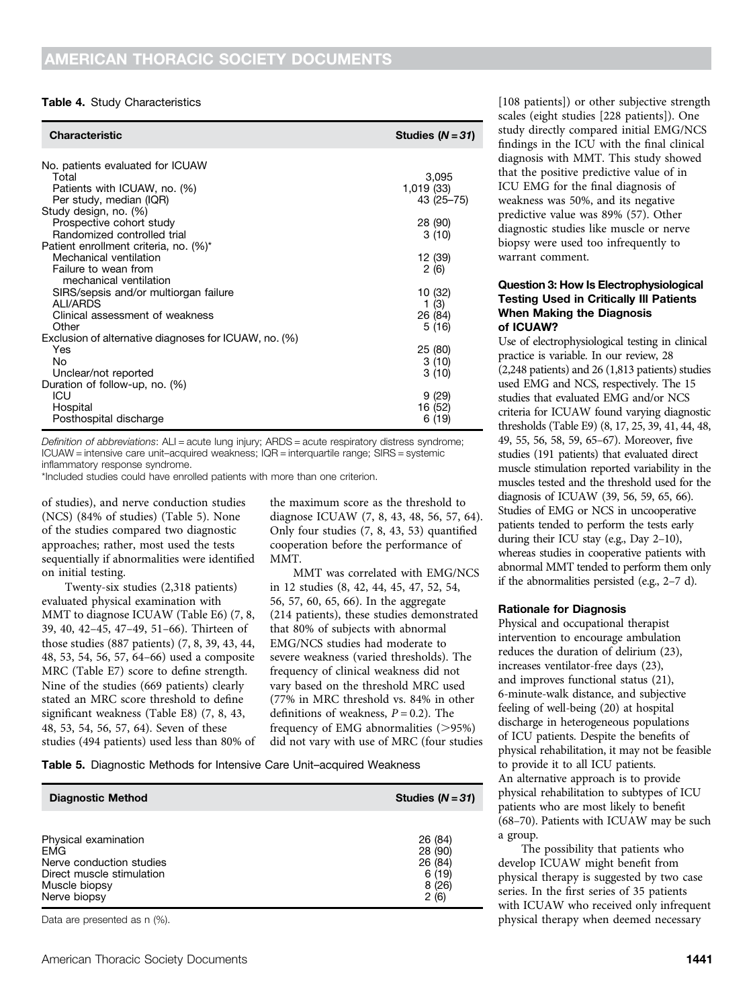#### Table 4. Study Characteristics

| <b>Characteristic</b>                                           | Studies $(N = 31)$ |
|-----------------------------------------------------------------|--------------------|
| No. patients evaluated for ICUAW                                |                    |
| Total                                                           | 3,095              |
| Patients with ICUAW, no. (%)                                    | 1,019 (33)         |
| Per study, median (IQR)                                         | 43 (25 - 75)       |
| Study design, no. (%)                                           |                    |
| Prospective cohort study                                        | 28 (90)            |
| Randomized controlled trial                                     | 3(10)              |
| Patient enrollment criteria, no. (%)*<br>Mechanical ventilation | 12 (39)            |
| Failure to wean from                                            | 2(6)               |
| mechanical ventilation                                          |                    |
| SIRS/sepsis and/or multiorgan failure                           | 10 (32)            |
| ALI/ARDS                                                        | 1 $(3)$            |
| Clinical assessment of weakness                                 | 26 (84)            |
| Other                                                           | 5 (16)             |
| Exclusion of alternative diagnoses for ICUAW, no. (%)           |                    |
| Yes                                                             | 25 (80)            |
| No                                                              | 3(10)              |
| Unclear/not reported<br>Duration of follow-up, no. (%)          | 3(10)              |
| ICU                                                             | 9(29)              |
| Hospital                                                        | 16 (52)            |
| Posthospital discharge                                          | 6 (19)             |

Definition of abbreviations: ALI = acute lung injury; ARDS = acute respiratory distress syndrome; ICUAW = intensive care unit–acquired weakness; IQR = interquartile range; SIRS = systemic inflammatory response syndrome.

\*Included studies could have enrolled patients with more than one criterion.

of studies), and nerve conduction studies (NCS) (84% of studies) (Table 5). None of the studies compared two diagnostic approaches; rather, most used the tests sequentially if abnormalities were identified on initial testing.

Twenty-six studies (2,318 patients) evaluated physical examination with MMT to diagnose ICUAW (Table E6) (7, 8, 39, 40, 42–45, 47–49, 51–66). Thirteen of those studies (887 patients) (7, 8, 39, 43, 44, 48, 53, 54, 56, 57, 64–66) used a composite MRC (Table E7) score to define strength. Nine of the studies (669 patients) clearly stated an MRC score threshold to define significant weakness (Table E8) (7, 8, 43, 48, 53, 54, 56, 57, 64). Seven of these studies (494 patients) used less than 80% of the maximum score as the threshold to diagnose ICUAW (7, 8, 43, 48, 56, 57, 64). Only four studies (7, 8, 43, 53) quantified cooperation before the performance of MMT.

MMT was correlated with EMG/NCS in 12 studies (8, 42, 44, 45, 47, 52, 54, 56, 57, 60, 65, 66). In the aggregate (214 patients), these studies demonstrated that 80% of subjects with abnormal EMG/NCS studies had moderate to severe weakness (varied thresholds). The frequency of clinical weakness did not vary based on the threshold MRC used (77% in MRC threshold vs. 84% in other definitions of weakness,  $P = 0.2$ ). The frequency of EMG abnormalities  $(>\!\!>95\%)$ did not vary with use of MRC (four studies

Table 5. Diagnostic Methods for Intensive Care Unit–acquired Weakness

| <b>Diagnostic Method</b>                                                                                                     | Studies $(N = 31)$                                             |
|------------------------------------------------------------------------------------------------------------------------------|----------------------------------------------------------------|
| Physical examination<br><b>EMG</b><br>Nerve conduction studies<br>Direct muscle stimulation<br>Muscle biopsy<br>Nerve biopsy | 26 (84)<br>28 (90)<br>(84)<br>26<br>6<br>(19)<br>8(26)<br>2(6) |

Data are presented as n (%).

[108 patients]) or other subjective strength scales (eight studies [228 patients]). One study directly compared initial EMG/NCS findings in the ICU with the final clinical diagnosis with MMT. This study showed that the positive predictive value of in ICU EMG for the final diagnosis of weakness was 50%, and its negative predictive value was 89% (57). Other diagnostic studies like muscle or nerve biopsy were used too infrequently to warrant comment.

#### Question 3: How Is Electrophysiological Testing Used in Critically Ill Patients When Making the Diagnosis of ICUAW?

Use of electrophysiological testing in clinical practice is variable. In our review, 28 (2,248 patients) and 26 (1,813 patients) studies used EMG and NCS, respectively. The 15 studies that evaluated EMG and/or NCS criteria for ICUAW found varying diagnostic thresholds (Table E9) (8, 17, 25, 39, 41, 44, 48, 49, 55, 56, 58, 59, 65–67). Moreover, five studies (191 patients) that evaluated direct muscle stimulation reported variability in the muscles tested and the threshold used for the diagnosis of ICUAW (39, 56, 59, 65, 66). Studies of EMG or NCS in uncooperative patients tended to perform the tests early during their ICU stay (e.g., Day 2–10), whereas studies in cooperative patients with abnormal MMT tended to perform them only if the abnormalities persisted (e.g., 2–7 d).

#### Rationale for Diagnosis

Physical and occupational therapist intervention to encourage ambulation reduces the duration of delirium (23), increases ventilator-free days (23), and improves functional status (21), 6-minute-walk distance, and subjective feeling of well-being (20) at hospital discharge in heterogeneous populations of ICU patients. Despite the benefits of physical rehabilitation, it may not be feasible to provide it to all ICU patients. An alternative approach is to provide physical rehabilitation to subtypes of ICU patients who are most likely to benefit (68–70). Patients with ICUAW may be such a group.

The possibility that patients who develop ICUAW might benefit from physical therapy is suggested by two case series. In the first series of 35 patients with ICUAW who received only infrequent physical therapy when deemed necessary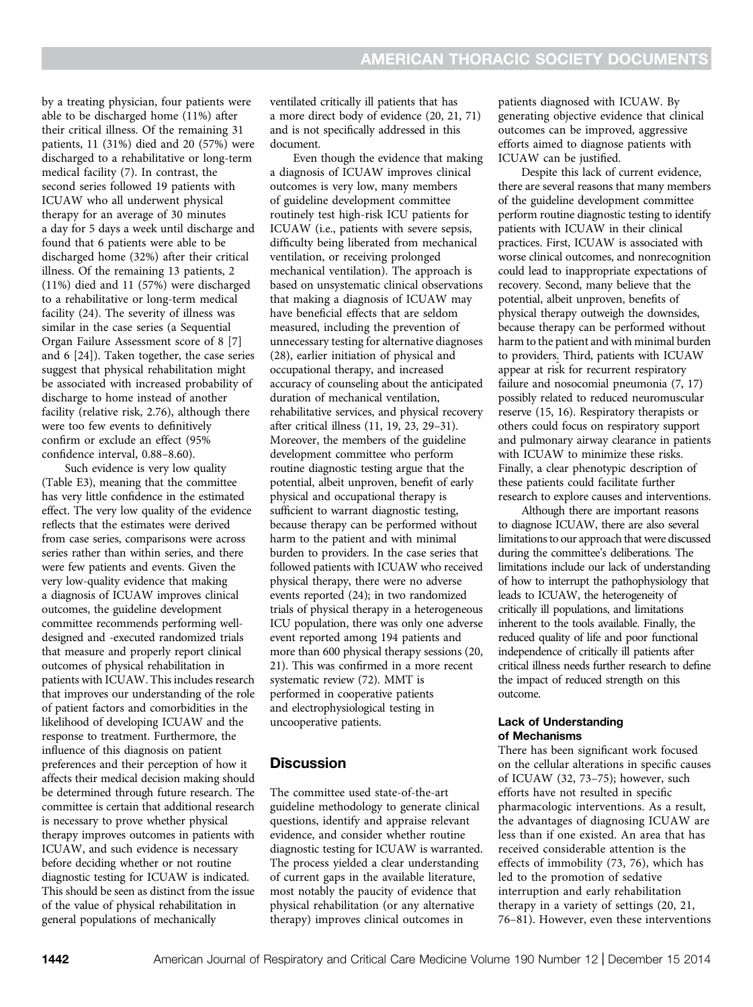by a treating physician, four patients were able to be discharged home (11%) after their critical illness. Of the remaining 31 patients, 11 (31%) died and 20 (57%) were discharged to a rehabilitative or long-term medical facility (7). In contrast, the second series followed 19 patients with ICUAW who all underwent physical therapy for an average of 30 minutes a day for 5 days a week until discharge and found that 6 patients were able to be discharged home (32%) after their critical illness. Of the remaining 13 patients, 2 (11%) died and 11 (57%) were discharged to a rehabilitative or long-term medical facility (24). The severity of illness was similar in the case series (a Sequential Organ Failure Assessment score of 8 [7] and 6 [24]). Taken together, the case series suggest that physical rehabilitation might be associated with increased probability of discharge to home instead of another facility (relative risk, 2.76), although there were too few events to definitively confirm or exclude an effect (95% confidence interval, 0.88–8.60).

Such evidence is very low quality (Table E3), meaning that the committee has very little confidence in the estimated effect. The very low quality of the evidence reflects that the estimates were derived from case series, comparisons were across series rather than within series, and there were few patients and events. Given the very low-quality evidence that making a diagnosis of ICUAW improves clinical outcomes, the guideline development committee recommends performing welldesigned and -executed randomized trials that measure and properly report clinical outcomes of physical rehabilitation in patients with ICUAW. This includes research that improves our understanding of the role of patient factors and comorbidities in the likelihood of developing ICUAW and the response to treatment. Furthermore, the influence of this diagnosis on patient preferences and their perception of how it affects their medical decision making should be determined through future research. The committee is certain that additional research is necessary to prove whether physical therapy improves outcomes in patients with ICUAW, and such evidence is necessary before deciding whether or not routine diagnostic testing for ICUAW is indicated. This should be seen as distinct from the issue of the value of physical rehabilitation in general populations of mechanically

ventilated critically ill patients that has a more direct body of evidence (20, 21, 71) and is not specifically addressed in this document.

Even though the evidence that making a diagnosis of ICUAW improves clinical outcomes is very low, many members of guideline development committee routinely test high-risk ICU patients for ICUAW (i.e., patients with severe sepsis, difficulty being liberated from mechanical ventilation, or receiving prolonged mechanical ventilation). The approach is based on unsystematic clinical observations that making a diagnosis of ICUAW may have beneficial effects that are seldom measured, including the prevention of unnecessary testing for alternative diagnoses (28), earlier initiation of physical and occupational therapy, and increased accuracy of counseling about the anticipated duration of mechanical ventilation, rehabilitative services, and physical recovery after critical illness (11, 19, 23, 29–31). Moreover, the members of the guideline development committee who perform routine diagnostic testing argue that the potential, albeit unproven, benefit of early physical and occupational therapy is sufficient to warrant diagnostic testing, because therapy can be performed without harm to the patient and with minimal burden to providers. In the case series that followed patients with ICUAW who received physical therapy, there were no adverse events reported (24); in two randomized trials of physical therapy in a heterogeneous ICU population, there was only one adverse event reported among 194 patients and more than 600 physical therapy sessions (20, 21). This was confirmed in a more recent systematic review (72). MMT is performed in cooperative patients and electrophysiological testing in uncooperative patients.

## **Discussion**

The committee used state-of-the-art guideline methodology to generate clinical questions, identify and appraise relevant evidence, and consider whether routine diagnostic testing for ICUAW is warranted. The process yielded a clear understanding of current gaps in the available literature, most notably the paucity of evidence that physical rehabilitation (or any alternative therapy) improves clinical outcomes in

patients diagnosed with ICUAW. By generating objective evidence that clinical outcomes can be improved, aggressive efforts aimed to diagnose patients with ICUAW can be justified.

Despite this lack of current evidence, there are several reasons that many members of the guideline development committee perform routine diagnostic testing to identify patients with ICUAW in their clinical practices. First, ICUAW is associated with worse clinical outcomes, and nonrecognition could lead to inappropriate expectations of recovery. Second, many believe that the potential, albeit unproven, benefits of physical therapy outweigh the downsides, because therapy can be performed without harm to the patient and with minimal burden to providers. Third, patients with ICUAW appear at risk for recurrent respiratory failure and nosocomial pneumonia (7, 17) possibly related to reduced neuromuscular reserve (15, 16). Respiratory therapists or others could focus on respiratory support and pulmonary airway clearance in patients with ICUAW to minimize these risks. Finally, a clear phenotypic description of these patients could facilitate further research to explore causes and interventions.

Although there are important reasons to diagnose ICUAW, there are also several limitations to our approach that were discussed during the committee's deliberations. The limitations include our lack of understanding of how to interrupt the pathophysiology that leads to ICUAW, the heterogeneity of critically ill populations, and limitations inherent to the tools available. Finally, the reduced quality of life and poor functional independence of critically ill patients after critical illness needs further research to define the impact of reduced strength on this outcome.

#### Lack of Understanding of Mechanisms

There has been significant work focused on the cellular alterations in specific causes of ICUAW (32, 73–75); however, such efforts have not resulted in specific pharmacologic interventions. As a result, the advantages of diagnosing ICUAW are less than if one existed. An area that has received considerable attention is the effects of immobility (73, 76), which has led to the promotion of sedative interruption and early rehabilitation therapy in a variety of settings (20, 21, 76–81). However, even these interventions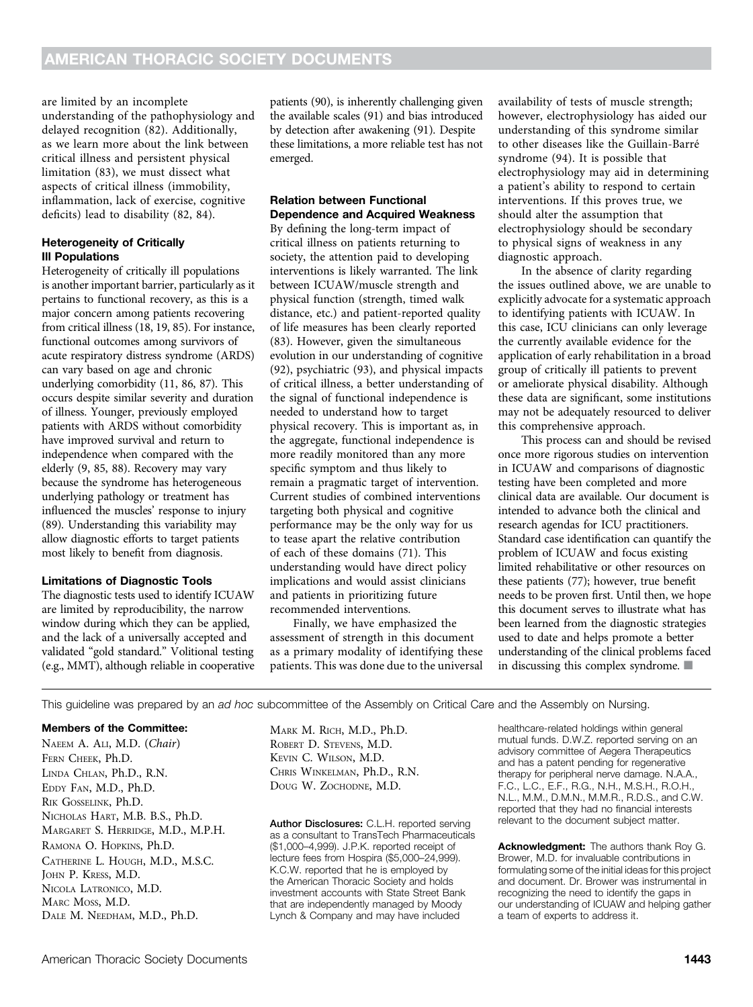are limited by an incomplete understanding of the pathophysiology and delayed recognition (82). Additionally, as we learn more about the link between critical illness and persistent physical limitation (83), we must dissect what aspects of critical illness (immobility, inflammation, lack of exercise, cognitive deficits) lead to disability (82, 84).

## Heterogeneity of Critically Ill Populations

Heterogeneity of critically ill populations is another important barrier, particularly as it pertains to functional recovery, as this is a major concern among patients recovering from critical illness (18, 19, 85). For instance, functional outcomes among survivors of acute respiratory distress syndrome (ARDS) can vary based on age and chronic underlying comorbidity (11, 86, 87). This occurs despite similar severity and duration of illness. Younger, previously employed patients with ARDS without comorbidity have improved survival and return to independence when compared with the elderly (9, 85, 88). Recovery may vary because the syndrome has heterogeneous underlying pathology or treatment has influenced the muscles' response to injury (89). Understanding this variability may allow diagnostic efforts to target patients most likely to benefit from diagnosis.

# Limitations of Diagnostic Tools

The diagnostic tests used to identify ICUAW are limited by reproducibility, the narrow window during which they can be applied, and the lack of a universally accepted and validated "gold standard." Volitional testing (e.g., MMT), although reliable in cooperative patients (90), is inherently challenging given the available scales (91) and bias introduced by detection after awakening (91). Despite these limitations, a more reliable test has not emerged.

## Relation between Functional Dependence and Acquired Weakness

By defining the long-term impact of critical illness on patients returning to society, the attention paid to developing interventions is likely warranted. The link between ICUAW/muscle strength and physical function (strength, timed walk distance, etc.) and patient-reported quality of life measures has been clearly reported (83). However, given the simultaneous evolution in our understanding of cognitive (92), psychiatric (93), and physical impacts of critical illness, a better understanding of the signal of functional independence is needed to understand how to target physical recovery. This is important as, in the aggregate, functional independence is more readily monitored than any more specific symptom and thus likely to remain a pragmatic target of intervention. Current studies of combined interventions targeting both physical and cognitive performance may be the only way for us to tease apart the relative contribution of each of these domains (71). This understanding would have direct policy implications and would assist clinicians and patients in prioritizing future recommended interventions.

Finally, we have emphasized the assessment of strength in this document as a primary modality of identifying these patients. This was done due to the universal

availability of tests of muscle strength; however, electrophysiology has aided our understanding of this syndrome similar to other diseases like the Guillain-Barre´ syndrome (94). It is possible that electrophysiology may aid in determining a patient's ability to respond to certain interventions. If this proves true, we should alter the assumption that electrophysiology should be secondary to physical signs of weakness in any diagnostic approach.

In the absence of clarity regarding the issues outlined above, we are unable to explicitly advocate for a systematic approach to identifying patients with ICUAW. In this case, ICU clinicians can only leverage the currently available evidence for the application of early rehabilitation in a broad group of critically ill patients to prevent or ameliorate physical disability. Although these data are significant, some institutions may not be adequately resourced to deliver this comprehensive approach.

This process can and should be revised once more rigorous studies on intervention in ICUAW and comparisons of diagnostic testing have been completed and more clinical data are available. Our document is intended to advance both the clinical and research agendas for ICU practitioners. Standard case identification can quantify the problem of ICUAW and focus existing limited rehabilitative or other resources on these patients (77); however, true benefit needs to be proven first. Until then, we hope this document serves to illustrate what has been learned from the diagnostic strategies used to date and helps promote a better understanding of the clinical problems faced in discussing this complex syndrome.  $\blacksquare$ 

This guideline was prepared by an ad hoc subcommittee of the Assembly on Critical Care and the Assembly on Nursing.

## Members of the Committee:

NAEEM A. ALI, M.D. (Chair) FERN CHEEK, Ph.D. LINDA CHLAN, Ph.D., R.N. EDDY FAN, M.D., Ph.D. RIK GOSSELINK, Ph.D. NICHOLAS HART, M.B. B.S., Ph.D. MARGARET S. HERRIDGE, M.D., M.P.H. RAMONA O. HOPKINS, Ph.D. CATHERINE L. HOUGH, M.D., M.S.C. JOHN P. KRESS, M.D. NICOLA LATRONICO, M.D. MARC MOSS, M.D. DALE M. NEEDHAM, M.D., Ph.D.

MARK M. RICH, M.D., Ph.D. ROBERT D. STEVENS, M.D. KEVIN C. WILSON, M.D. CHRIS WINKELMAN, Ph.D., R.N. DOUG W. ZOCHODNE, M.D.

[Author Disclosures:](http://www.atsjournals.org/doi/suppl/10.1164/rccm.201411-2011ST/suppl_file/disclosures.pdf) C.L.H. reported serving as a consultant to TransTech Pharmaceuticals (\$1,000–4,999). J.P.K. reported receipt of lecture fees from Hospira (\$5,000–24,999). K.C.W. reported that he is employed by the American Thoracic Society and holds investment accounts with State Street Bank that are independently managed by Moody Lynch & Company and may have included

healthcare-related holdings within general mutual funds. D.W.Z. reported serving on an advisory committee of Aegera Therapeutics and has a patent pending for regenerative therapy for peripheral nerve damage. N.A.A., F.C., L.C., E.F., R.G., N.H., M.S.H., R.O.H., N.L., M.M., D.M.N., M.M.R., R.D.S., and C.W. reported that they had no financial interests relevant to the document subject matter.

Acknowledgment: The authors thank Roy G. Brower, M.D. for invaluable contributions in formulating some of the initial ideas for this project and document. Dr. Brower was instrumental in recognizing the need to identify the gaps in our understanding of ICUAW and helping gather a team of experts to address it.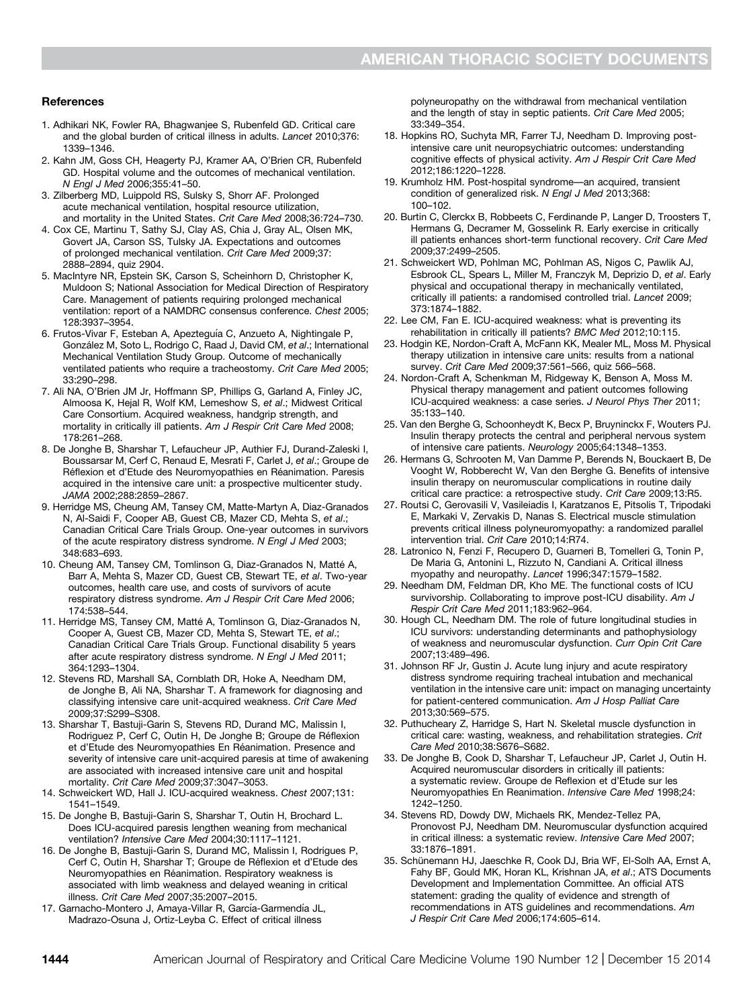#### **References**

- 1. Adhikari NK, Fowler RA, Bhagwanjee S, Rubenfeld GD. Critical care and the global burden of critical illness in adults. Lancet 2010;376: 1339–1346.
- 2. Kahn JM, Goss CH, Heagerty PJ, Kramer AA, O'Brien CR, Rubenfeld GD. Hospital volume and the outcomes of mechanical ventilation. N Engl J Med 2006;355:41–50.
- 3. Zilberberg MD, Luippold RS, Sulsky S, Shorr AF. Prolonged acute mechanical ventilation, hospital resource utilization, and mortality in the United States. Crit Care Med 2008;36:724–730.
- 4. Cox CE, Martinu T, Sathy SJ, Clay AS, Chia J, Gray AL, Olsen MK, Govert JA, Carson SS, Tulsky JA. Expectations and outcomes of prolonged mechanical ventilation. Crit Care Med 2009;37: 2888–2894, quiz 2904.
- 5. MacIntyre NR, Epstein SK, Carson S, Scheinhorn D, Christopher K, Muldoon S; National Association for Medical Direction of Respiratory Care. Management of patients requiring prolonged mechanical ventilation: report of a NAMDRC consensus conference. Chest 2005; 128:3937–3954.
- 6. Frutos-Vivar F, Esteban A, Apezteguía C, Anzueto A, Nightingale P, González M, Soto L, Rodrigo C, Raad J, David CM, et al.; International Mechanical Ventilation Study Group. Outcome of mechanically ventilated patients who require a tracheostomy. Crit Care Med 2005; 33:290–298.
- 7. Ali NA, O'Brien JM Jr, Hoffmann SP, Phillips G, Garland A, Finley JC, Almoosa K, Hejal R, Wolf KM, Lemeshow S, et al.; Midwest Critical Care Consortium. Acquired weakness, handgrip strength, and mortality in critically ill patients. Am J Respir Crit Care Med 2008; 178:261–268.
- 8. De Jonghe B, Sharshar T, Lefaucheur JP, Authier FJ, Durand-Zaleski I, Boussarsar M, Cerf C, Renaud E, Mesrati F, Carlet J, et al.; Groupe de Réflexion et d'Etude des Neuromyopathies en Réanimation. Paresis acquired in the intensive care unit: a prospective multicenter study. JAMA 2002;288:2859–2867.
- 9. Herridge MS, Cheung AM, Tansey CM, Matte-Martyn A, Diaz-Granados N, Al-Saidi F, Cooper AB, Guest CB, Mazer CD, Mehta S, et al.; Canadian Critical Care Trials Group. One-year outcomes in survivors of the acute respiratory distress syndrome. N Engl J Med 2003; 348:683–693.
- 10. Cheung AM, Tansey CM, Tomlinson G, Diaz-Granados N, Matté A. Barr A, Mehta S, Mazer CD, Guest CB, Stewart TE, et al. Two-year outcomes, health care use, and costs of survivors of acute respiratory distress syndrome. Am J Respir Crit Care Med 2006; 174:538–544.
- 11. Herridge MS, Tansey CM, Matté A, Tomlinson G, Diaz-Granados N, Cooper A, Guest CB, Mazer CD, Mehta S, Stewart TE, et al.; Canadian Critical Care Trials Group. Functional disability 5 years after acute respiratory distress syndrome. N Engl J Med 2011; 364:1293–1304.
- 12. Stevens RD, Marshall SA, Cornblath DR, Hoke A, Needham DM, de Jonghe B, Ali NA, Sharshar T. A framework for diagnosing and classifying intensive care unit-acquired weakness. Crit Care Med 2009;37:S299–S308.
- 13. Sharshar T, Bastuji-Garin S, Stevens RD, Durand MC, Malissin I, Rodriguez P, Cerf C, Outin H, De Jonghe B; Groupe de Réflexion et d'Etude des Neuromyopathies En Réanimation. Presence and severity of intensive care unit-acquired paresis at time of awakening are associated with increased intensive care unit and hospital mortality. Crit Care Med 2009;37:3047–3053.
- 14. Schweickert WD, Hall J. ICU-acquired weakness. Chest 2007;131: 1541–1549.
- 15. De Jonghe B, Bastuji-Garin S, Sharshar T, Outin H, Brochard L. Does ICU-acquired paresis lengthen weaning from mechanical ventilation? Intensive Care Med 2004;30:1117–1121.
- 16. De Jonghe B, Bastuji-Garin S, Durand MC, Malissin I, Rodrigues P, Cerf C, Outin H, Sharshar T; Groupe de Réflexion et d'Etude des Neuromyopathies en Réanimation. Respiratory weakness is associated with limb weakness and delayed weaning in critical illness. Crit Care Med 2007;35:2007–2015.
- 17. Garnacho-Montero J, Amaya-Villar R, García-Garmendía JL, Madrazo-Osuna J, Ortiz-Leyba C. Effect of critical illness

polyneuropathy on the withdrawal from mechanical ventilation and the length of stay in septic patients. Crit Care Med 2005; 33:349–354.

- 18. Hopkins RO, Suchyta MR, Farrer TJ, Needham D. Improving postintensive care unit neuropsychiatric outcomes: understanding cognitive effects of physical activity. Am J Respir Crit Care Med 2012;186:1220–1228.
- 19. Krumholz HM. Post-hospital syndrome—an acquired, transient condition of generalized risk. N Engl J Med 2013;368: 100–102.
- 20. Burtin C, Clerckx B, Robbeets C, Ferdinande P, Langer D, Troosters T, Hermans G, Decramer M, Gosselink R. Early exercise in critically ill patients enhances short-term functional recovery. Crit Care Med 2009;37:2499–2505.
- 21. Schweickert WD, Pohlman MC, Pohlman AS, Nigos C, Pawlik AJ, Esbrook CL, Spears L, Miller M, Franczyk M, Deprizio D, et al. Early physical and occupational therapy in mechanically ventilated, critically ill patients: a randomised controlled trial. Lancet 2009; 373:1874–1882.
- 22. Lee CM, Fan E. ICU-acquired weakness: what is preventing its rehabilitation in critically ill patients? BMC Med 2012;10:115.
- 23. Hodgin KE, Nordon-Craft A, McFann KK, Mealer ML, Moss M. Physical therapy utilization in intensive care units: results from a national survey. Crit Care Med 2009;37:561–566, quiz 566–568.
- 24. Nordon-Craft A, Schenkman M, Ridgeway K, Benson A, Moss M. Physical therapy management and patient outcomes following ICU-acquired weakness: a case series. J Neurol Phys Ther 2011; 35:133–140.
- 25. Van den Berghe G, Schoonheydt K, Becx P, Bruyninckx F, Wouters PJ. Insulin therapy protects the central and peripheral nervous system of intensive care patients. Neurology 2005;64:1348–1353.
- 26. Hermans G, Schrooten M, Van Damme P, Berends N, Bouckaert B, De Vooght W, Robberecht W, Van den Berghe G. Benefits of intensive insulin therapy on neuromuscular complications in routine daily critical care practice: a retrospective study. Crit Care 2009;13:R5.
- 27. Routsi C, Gerovasili V, Vasileiadis I, Karatzanos E, Pitsolis T, Tripodaki E, Markaki V, Zervakis D, Nanas S. Electrical muscle stimulation prevents critical illness polyneuromyopathy: a randomized parallel intervention trial. Crit Care 2010;14:R74.
- 28. Latronico N, Fenzi F, Recupero D, Guarneri B, Tomelleri G, Tonin P, De Maria G, Antonini L, Rizzuto N, Candiani A. Critical illness myopathy and neuropathy. Lancet 1996;347:1579–1582.
- 29. Needham DM, Feldman DR, Kho ME. The functional costs of ICU survivorship. Collaborating to improve post-ICU disability. Am J Respir Crit Care Med 2011;183:962–964.
- 30. Hough CL, Needham DM. The role of future longitudinal studies in ICU survivors: understanding determinants and pathophysiology of weakness and neuromuscular dysfunction. Curr Opin Crit Care 2007;13:489–496.
- 31. Johnson RF Jr, Gustin J. Acute lung injury and acute respiratory distress syndrome requiring tracheal intubation and mechanical ventilation in the intensive care unit: impact on managing uncertainty for patient-centered communication. Am J Hosp Palliat Care 2013;30:569–575.
- 32. Puthucheary Z, Harridge S, Hart N. Skeletal muscle dysfunction in critical care: wasting, weakness, and rehabilitation strategies. Crit Care Med 2010;38:S676–S682.
- 33. De Jonghe B, Cook D, Sharshar T, Lefaucheur JP, Carlet J, Outin H. Acquired neuromuscular disorders in critically ill patients: a systematic review. Groupe de Reflexion et d'Etude sur les Neuromyopathies En Reanimation. Intensive Care Med 1998;24: 1242–1250.
- 34. Stevens RD, Dowdy DW, Michaels RK, Mendez-Tellez PA, Pronovost PJ, Needham DM. Neuromuscular dysfunction acquired in critical illness: a systematic review. Intensive Care Med 2007; 33:1876–1891.
- 35. Schünemann HJ, Jaeschke R, Cook DJ, Bria WF, El-Solh AA, Ernst A, Fahy BF, Gould MK, Horan KL, Krishnan JA, et al.; ATS Documents Development and Implementation Committee. An official ATS statement: grading the quality of evidence and strength of recommendations in ATS quidelines and recommendations. Am J Respir Crit Care Med 2006;174:605–614.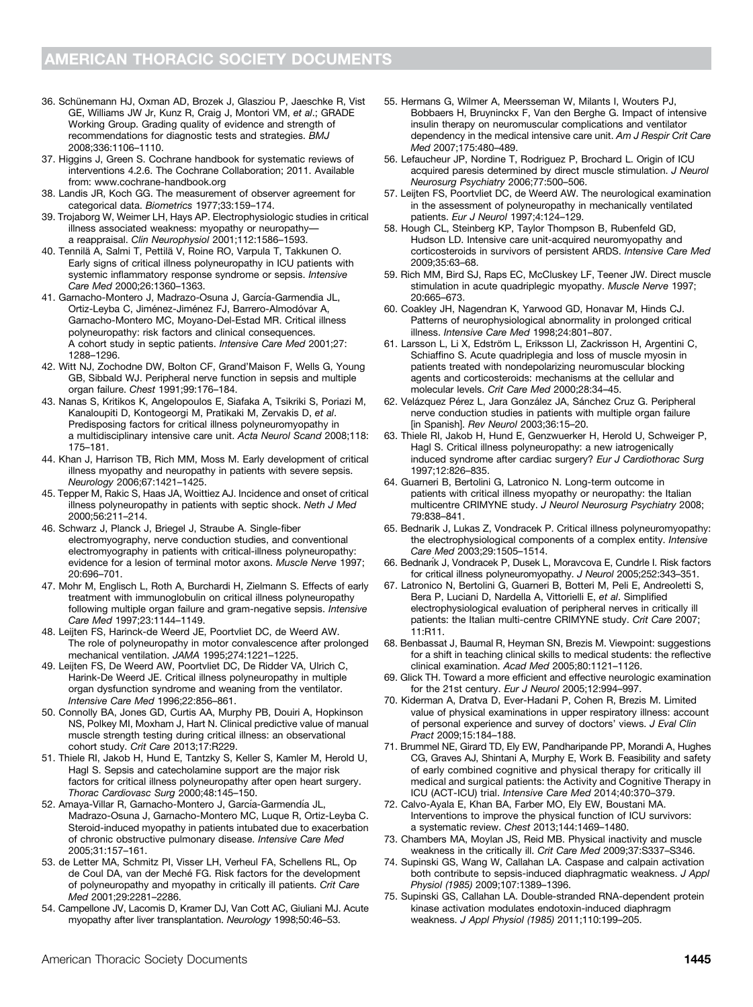- 36. Schünemann HJ, Oxman AD, Brozek J, Glasziou P, Jaeschke R, Vist GE, Williams JW Jr, Kunz R, Craig J, Montori VM, et al.; GRADE Working Group. Grading quality of evidence and strength of recommendations for diagnostic tests and strategies. BMJ 2008;336:1106–1110.
- 37. Higgins J, Green S. Cochrane handbook for systematic reviews of interventions 4.2.6. The Cochrane Collaboration; 2011. Available from:<www.cochrane-handbook.org>
- 38. Landis JR, Koch GG. The measurement of observer agreement for categorical data. Biometrics 1977;33:159–174.
- 39. Trojaborg W, Weimer LH, Hays AP. Electrophysiologic studies in critical illness associated weakness: myopathy or neuropathy a reappraisal. Clin Neurophysiol 2001;112:1586–1593.
- 40. Tennilä A, Salmi T, Pettilä V, Roine RO, Varpula T, Takkunen O. Early signs of critical illness polyneuropathy in ICU patients with systemic inflammatory response syndrome or sepsis. Intensive Care Med 2000;26:1360–1363.
- 41. Garnacho-Montero J, Madrazo-Osuna J, García-Garmendia JL, Ortiz-Leyba C, Jiménez-Jiménez FJ, Barrero-Almodóvar A, Garnacho-Montero MC, Moyano-Del-Estad MR. Critical illness polyneuropathy: risk factors and clinical consequences. A cohort study in septic patients. Intensive Care Med 2001;27: 1288–1296.
- 42. Witt NJ, Zochodne DW, Bolton CF, Grand'Maison F, Wells G, Young GB, Sibbald WJ. Peripheral nerve function in sepsis and multiple organ failure. Chest 1991;99:176–184.
- 43. Nanas S, Kritikos K, Angelopoulos E, Siafaka A, Tsikriki S, Poriazi M, Kanaloupiti D, Kontogeorgi M, Pratikaki M, Zervakis D, et al. Predisposing factors for critical illness polyneuromyopathy in a multidisciplinary intensive care unit. Acta Neurol Scand 2008;118: 175–181.
- 44. Khan J, Harrison TB, Rich MM, Moss M. Early development of critical illness myopathy and neuropathy in patients with severe sepsis. Neurology 2006;67:1421–1425.
- 45. Tepper M, Rakic S, Haas JA, Woittiez AJ. Incidence and onset of critical illness polyneuropathy in patients with septic shock. Neth J Med 2000;56:211–214.
- 46. Schwarz J, Planck J, Briegel J, Straube A. Single-fiber electromyography, nerve conduction studies, and conventional electromyography in patients with critical-illness polyneuropathy: evidence for a lesion of terminal motor axons. Muscle Nerve 1997; 20:696–701.
- 47. Mohr M, Englisch L, Roth A, Burchardi H, Zielmann S. Effects of early treatment with immunoglobulin on critical illness polyneuropathy following multiple organ failure and gram-negative sepsis. Intensive Care Med 1997;23:1144–1149.
- 48. Leijten FS, Harinck-de Weerd JE, Poortvliet DC, de Weerd AW. The role of polyneuropathy in motor convalescence after prolonged mechanical ventilation. JAMA 1995;274:1221–1225.
- 49. Leijten FS, De Weerd AW, Poortvliet DC, De Ridder VA, Ulrich C, Harink-De Weerd JE. Critical illness polyneuropathy in multiple organ dysfunction syndrome and weaning from the ventilator. Intensive Care Med 1996;22:856–861.
- 50. Connolly BA, Jones GD, Curtis AA, Murphy PB, Douiri A, Hopkinson NS, Polkey MI, Moxham J, Hart N. Clinical predictive value of manual muscle strength testing during critical illness: an observational cohort study. Crit Care 2013;17:R229.
- 51. Thiele RI, Jakob H, Hund E, Tantzky S, Keller S, Kamler M, Herold U, Hagl S. Sepsis and catecholamine support are the major risk factors for critical illness polyneuropathy after open heart surgery. Thorac Cardiovasc Surg 2000;48:145–150.
- 52. Amaya-Villar R, Garnacho-Montero J, García-Garmendía JL, Madrazo-Osuna J, Garnacho-Montero MC, Luque R, Ortiz-Leyba C. Steroid-induced myopathy in patients intubated due to exacerbation of chronic obstructive pulmonary disease. Intensive Care Med 2005;31:157–161.
- 53. de Letter MA, Schmitz PI, Visser LH, Verheul FA, Schellens RL, Op de Coul DA, van der Meché FG. Risk factors for the development of polyneuropathy and myopathy in critically ill patients. Crit Care Med 2001;29:2281–2286.
- 54. Campellone JV, Lacomis D, Kramer DJ, Van Cott AC, Giuliani MJ. Acute myopathy after liver transplantation. Neurology 1998;50:46–53.
- 55. Hermans G, Wilmer A, Meersseman W, Milants I, Wouters PJ, Bobbaers H, Bruyninckx F, Van den Berghe G. Impact of intensive insulin therapy on neuromuscular complications and ventilator dependency in the medical intensive care unit. Am J Respir Crit Care Med 2007;175:480–489.
- 56. Lefaucheur JP, Nordine T, Rodriguez P, Brochard L. Origin of ICU acquired paresis determined by direct muscle stimulation. J Neurol Neurosurg Psychiatry 2006;77:500–506.
- 57. Leijten FS, Poortvliet DC, de Weerd AW. The neurological examination in the assessment of polyneuropathy in mechanically ventilated patients. Eur J Neurol 1997;4:124–129.
- 58. Hough CL, Steinberg KP, Taylor Thompson B, Rubenfeld GD, Hudson LD. Intensive care unit-acquired neuromyopathy and corticosteroids in survivors of persistent ARDS. Intensive Care Med 2009;35:63–68.
- 59. Rich MM, Bird SJ, Raps EC, McCluskey LF, Teener JW. Direct muscle stimulation in acute quadriplegic myopathy. Muscle Nerve 1997; 20:665–673.
- 60. Coakley JH, Nagendran K, Yarwood GD, Honavar M, Hinds CJ. Patterns of neurophysiological abnormality in prolonged critical illness. Intensive Care Med 1998;24:801–807.
- 61. Larsson L, Li X, Edström L, Eriksson LI, Zackrisson H, Argentini C, Schiaffino S. Acute quadriplegia and loss of muscle myosin in patients treated with nondepolarizing neuromuscular blocking agents and corticosteroids: mechanisms at the cellular and molecular levels. Crit Care Med 2000;28:34–45.
- 62. Velázquez Pérez L, Jara González JA, Sánchez Cruz G. Peripheral nerve conduction studies in patients with multiple organ failure [in Spanish]. Rev Neurol 2003;36:15–20.
- 63. Thiele RI, Jakob H, Hund E, Genzwuerker H, Herold U, Schweiger P, Hagl S. Critical illness polyneuropathy: a new iatrogenically induced syndrome after cardiac surgery? Eur J Cardiothorac Surg 1997;12:826–835.
- 64. Guarneri B, Bertolini G, Latronico N. Long-term outcome in patients with critical illness myopathy or neuropathy: the Italian multicentre CRIMYNE study. J Neurol Neurosurg Psychiatry 2008; 79:838–841.
- 65. Bednarik J, Lukas Z, Vondracek P. Critical illness polyneuromyopathy: the electrophysiological components of a complex entity. Intensive Care Med 2003;29:1505–1514.
- 66. Bednarík J, Vondracek P, Dusek L, Moravcova E, Cundrle I. Risk factors for critical illness polyneuromyopathy. J Neurol 2005;252:343–351.
- 67. Latronico N, Bertolini G, Guarneri B, Botteri M, Peli E, Andreoletti S, Bera P, Luciani D, Nardella A, Vittorielli E, et al. Simplified electrophysiological evaluation of peripheral nerves in critically ill patients: the Italian multi-centre CRIMYNE study. Crit Care 2007; 11:R11.
- 68. Benbassat J, Baumal R, Heyman SN, Brezis M. Viewpoint: suggestions for a shift in teaching clinical skills to medical students: the reflective clinical examination. Acad Med 2005;80:1121–1126.
- 69. Glick TH. Toward a more efficient and effective neurologic examination for the 21st century. Eur J Neurol 2005;12:994–997.
- 70. Kiderman A, Dratva D, Ever-Hadani P, Cohen R, Brezis M. Limited value of physical examinations in upper respiratory illness: account of personal experience and survey of doctors' views. J Eval Clin Pract 2009;15:184–188.
- 71. Brummel NE, Girard TD, Ely EW, Pandharipande PP, Morandi A, Hughes CG, Graves AJ, Shintani A, Murphy E, Work B. Feasibility and safety of early combined cognitive and physical therapy for critically ill medical and surgical patients: the Activity and Cognitive Therapy in ICU (ACT-ICU) trial. Intensive Care Med 2014;40:370–379.
- 72. Calvo-Ayala E, Khan BA, Farber MO, Ely EW, Boustani MA. Interventions to improve the physical function of ICU survivors: a systematic review. Chest 2013;144:1469–1480.
- 73. Chambers MA, Moylan JS, Reid MB. Physical inactivity and muscle weakness in the critically ill. Crit Care Med 2009;37:S337–S346.
- 74. Supinski GS, Wang W, Callahan LA. Caspase and calpain activation both contribute to sepsis-induced diaphragmatic weakness. J Appl Physiol (1985) 2009;107:1389–1396.
- 75. Supinski GS, Callahan LA. Double-stranded RNA-dependent protein kinase activation modulates endotoxin-induced diaphragm weakness. J Appl Physiol (1985) 2011;110:199–205.